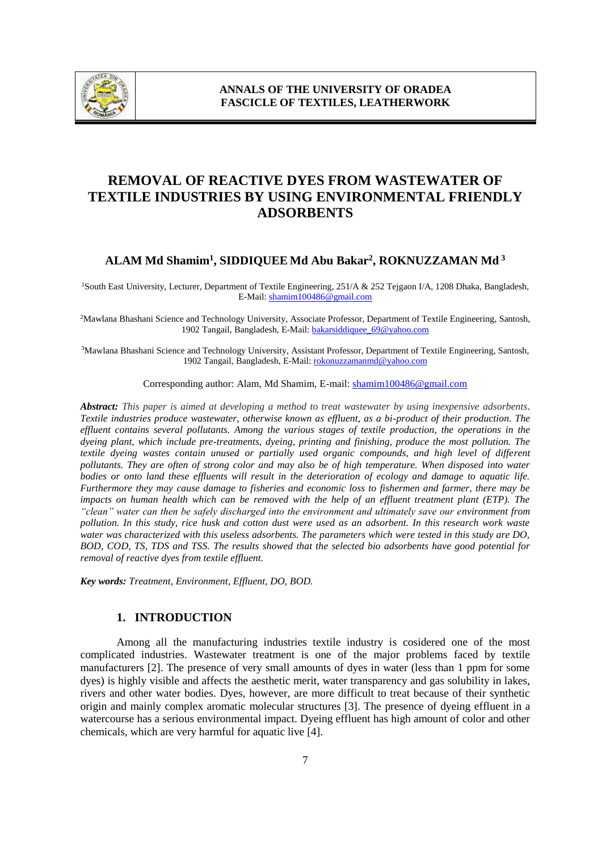

# **REMOVAL OF REACTIVE DYES FROM WASTEWATER OF TEXTILE INDUSTRIES BY USING ENVIRONMENTAL FRIENDLY ADSORBENTS**

# **ALAM Md Shamim<sup>1</sup> , SIDDIQUEE Md Abu Bakar<sup>2</sup> , ROKNUZZAMAN Md <sup>3</sup>**

<sup>1</sup>South East University, Lecturer, Department of Textile Engineering, 251/A & 252 Tejgaon I/A, 1208 Dhaka, Bangladesh, E-Mail: shamim100486@gmail.com

<sup>2</sup>Mawlana Bhashani Science and Technology University, Associate Professor, Department of Textile Engineering, Santosh, 1902 Tangail, Bangladesh, E-Mail: bakarsiddiquee\_69@yahoo.com

<sup>3</sup>Mawlana Bhashani Science and Technology University, Assistant Professor, Department of Textile Engineering, Santosh, 1902 Tangail, Bangladesh, E-Mail: rokonuzzamanmd@yahoo.com

Corresponding author: Alam, Md Shamim, E-mail: shamim100486@gmail.com

*Abstract: This paper is aimed at developing a method to treat wastewater by using inexpensive adsorbents. Textile industries produce wastewater, otherwise known as effluent, as a bi-product of their production. The effluent contains several pollutants. Among the various stages of textile production, the operations in the dyeing plant, which include pre-treatments, dyeing, printing and finishing, produce the most pollution. The textile dyeing wastes contain unused or partially used organic compounds, and high level of different pollutants. They are often of strong color and may also be of high temperature. When disposed into water bodies or onto land these effluents will result in the deterioration of ecology and damage to aquatic life. Furthermore they may cause damage to fisheries and economic loss to fishermen and farmer, there may be impacts on human health which can be removed with the help of an effluent treatment plant (ETP). The "clean" water can then be safely discharged into the environment and ultimately save our environment from pollution. In this study, rice husk and cotton dust were used as an adsorbent. In this research work waste water was characterized with this useless adsorbents. The parameters which were tested in this study are DO, BOD, COD, TS, TDS and TSS. The results showed that the selected bio adsorbents have good potential for removal of reactive dyes from textile effluent.*

*Key words: Treatment, Environment, Effluent, DO, BOD.*

# **1. INTRODUCTION**

Among all the manufacturing industries textile industry is cosidered one of the most complicated industries. Wastewater treatment is one of the major problems faced by textile manufacturers [2]. The presence of very small amounts of dyes in water (less than 1 ppm for some dyes) is highly visible and affects the aesthetic merit, water transparency and gas solubility in lakes, rivers and other water bodies. Dyes, however, are more difficult to treat because of their synthetic origin and mainly complex aromatic molecular structures [3]. The presence of dyeing effluent in a watercourse has a serious environmental impact. Dyeing effluent has high amount of color and other chemicals, which are very harmful for aquatic live [4].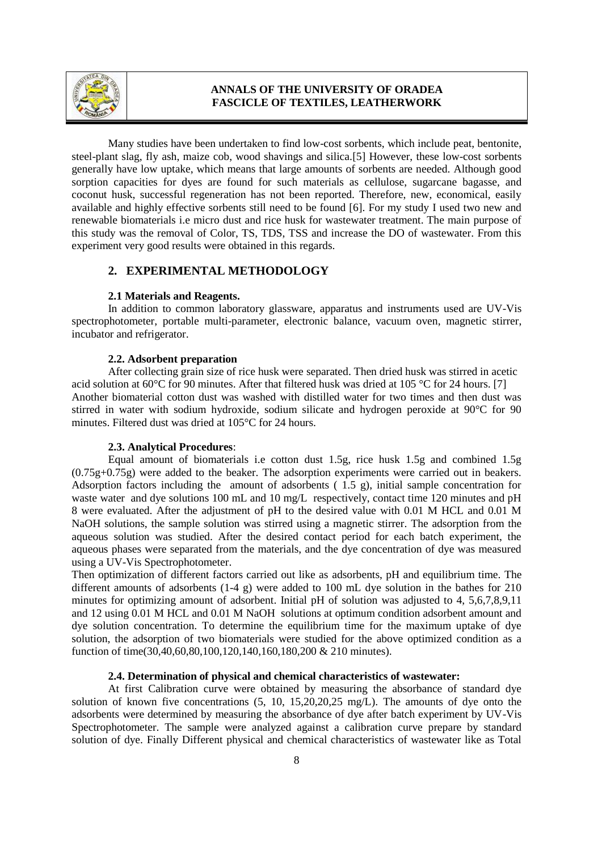

Many studies have been undertaken to find low-cost sorbents, which include peat, bentonite, steel-plant slag, fly ash, maize cob, wood shavings and silica.[5] However, these low-cost sorbents generally have low uptake, which means that large amounts of sorbents are needed. Although good sorption capacities for dyes are found for such materials as cellulose, sugarcane bagasse, and coconut husk, successful regeneration has not been reported. Therefore, new, economical, easily available and highly effective sorbents still need to be found [6]. For my study I used two new and renewable biomaterials i.e micro dust and rice husk for wastewater treatment. The main purpose of this study was the removal of Color, TS, TDS, TSS and increase the DO of wastewater. From this experiment very good results were obtained in this regards.

### **2. EXPERIMENTAL METHODOLOGY**

#### **2.1 Materials and Reagents.**

In addition to common laboratory glassware, apparatus and instruments used are UV-Vis spectrophotometer, portable multi-parameter, electronic balance, vacuum oven, magnetic stirrer, incubator and refrigerator.

### **2.2. Adsorbent preparation**

After collecting grain size of rice husk were separated. Then dried husk was stirred in acetic acid solution at 60°C for 90 minutes. After that filtered husk was dried at 105 °C for 24 hours. [7] Another biomaterial cotton dust was washed with distilled water for two times and then dust was stirred in water with sodium hydroxide, sodium silicate and hydrogen peroxide at 90°C for 90 minutes. Filtered dust was dried at 105°C for 24 hours.

#### **2.3. Analytical Procedures**:

Equal amount of biomaterials i.e cotton dust 1.5g, rice husk 1.5g and combined 1.5g (0.75g+0.75g) were added to the beaker. The adsorption experiments were carried out in beakers. Adsorption factors including the amount of adsorbents ( 1.5 g), initial sample concentration for waste water and dye solutions 100 mL and 10 mg/L respectively, contact time 120 minutes and pH 8 were evaluated. After the adjustment of pH to the desired value with 0.01 M HCL and 0.01 M NaOH solutions, the sample solution was stirred using a magnetic stirrer. The adsorption from the aqueous solution was studied. After the desired contact period for each batch experiment, the aqueous phases were separated from the materials, and the dye concentration of dye was measured using a UV-Vis Spectrophotometer.

Then optimization of different factors carried out like as adsorbents, pH and equilibrium time. The different amounts of adsorbents (1-4 g) were added to 100 mL dye solution in the bathes for 210 minutes for optimizing amount of adsorbent. Initial pH of solution was adjusted to 4, 5,6,7,8,9,11 and 12 using 0.01 M HCL and 0.01 M NaOH solutions at optimum condition adsorbent amount and dye solution concentration. To determine the equilibrium time for the maximum uptake of dye solution, the adsorption of two biomaterials were studied for the above optimized condition as a function of time(30,40,60,80,100,120,140,160,180,200 & 210 minutes).

## **2.4. Determination of physical and chemical characteristics of wastewater:**

At first Calibration curve were obtained by measuring the absorbance of standard dye solution of known five concentrations (5, 10, 15,20,20,25 mg/L). The amounts of dye onto the adsorbents were determined by measuring the absorbance of dye after batch experiment by UV-Vis Spectrophotometer. The sample were analyzed against a calibration curve prepare by standard solution of dye. Finally Different physical and chemical characteristics of wastewater like as Total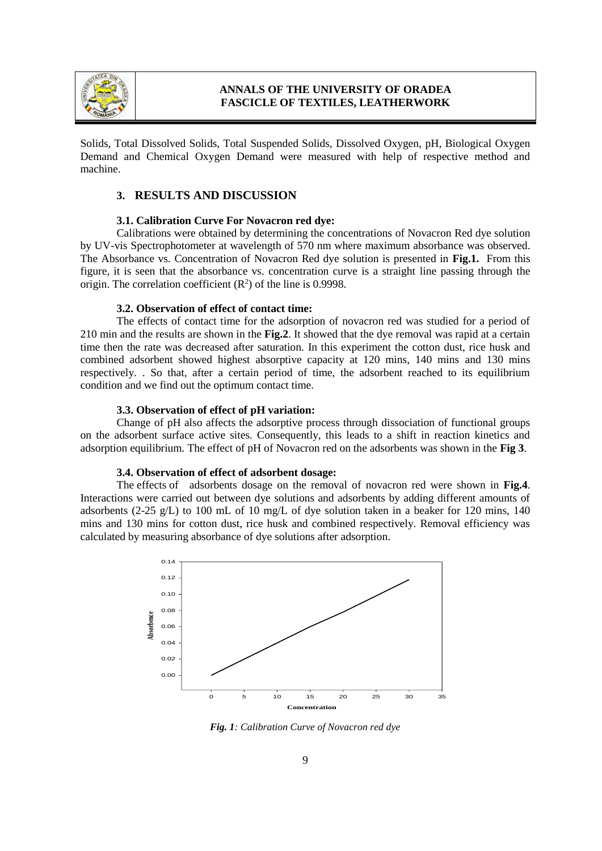

Solids, Total Dissolved Solids, Total Suspended Solids, Dissolved Oxygen, pH, Biological Oxygen Demand and Chemical Oxygen Demand were measured with help of respective method and machine.

### **3. RESULTS AND DISCUSSION**

#### **3.1. Calibration Curve For Novacron red dye:**

Calibrations were obtained by determining the concentrations of Novacron Red dye solution by UV-vis Spectrophotometer at wavelength of 570 nm where maximum absorbance was observed. The Absorbance vs. Concentration of Novacron Red dye solution is presented in **Fig.1.** From this figure, it is seen that the absorbance vs. concentration curve is a straight line passing through the origin. The correlation coefficient  $(R^2)$  of the line is 0.9998.

#### **3.2. Observation of effect of contact time:**

The effects of contact time for the adsorption of novacron red was studied for a period of 210 min and the results are shown in the **Fig.2**. It showed that the dye removal was rapid at a certain time then the rate was decreased after saturation. In this experiment the cotton dust, rice husk and combined adsorbent showed highest absorptive capacity at 120 mins, 140 mins and 130 mins respectively. . So that, after a certain period of time, the adsorbent reached to its equilibrium condition and we find out the optimum contact time.

#### **3.3. Observation of effect of pH variation:**

Change of pH also affects the adsorptive process through dissociation of functional groups on the adsorbent surface active sites. Consequently, this leads to a shift in reaction kinetics and adsorption equilibrium. The effect of pH of Novacron red on the adsorbents was shown in the **Fig 3**.

#### **3.4. Observation of effect of adsorbent dosage:**

The effects of adsorbents dosage on the removal of novacron red were shown in **Fig.4**. Interactions were carried out between dye solutions and adsorbents by adding different amounts of adsorbents (2-25 g/L) to 100 mL of 10 mg/L of dye solution taken in a beaker for 120 mins, 140 mins and 130 mins for cotton dust, rice husk and combined respectively. Removal efficiency was calculated by measuring absorbance of dye solutions after adsorption.



*Fig. 1: Calibration Curve of Novacron red dye*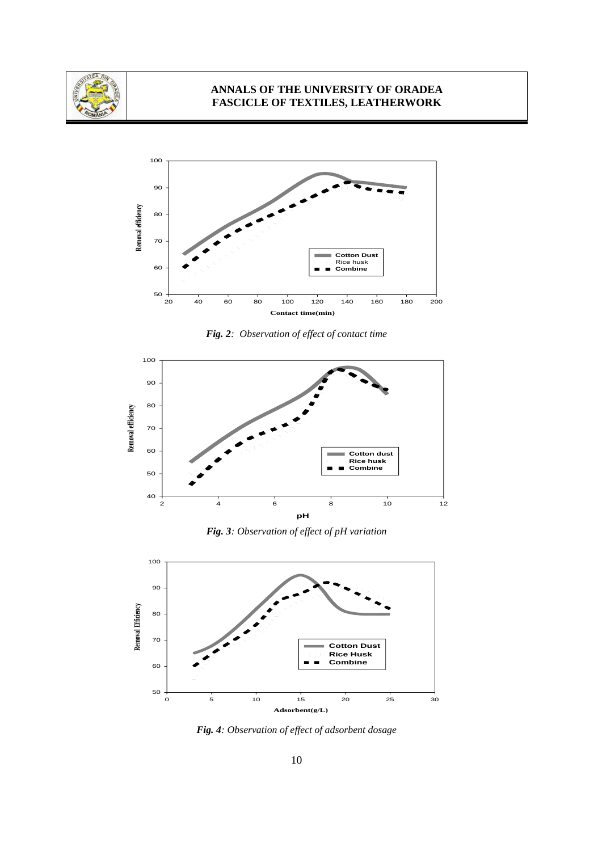



*Fig. 2: Observation of effect of contact time*



*Fig. 3: Observation of effect of pH variation*



*Fig. 4: Observation of effect of adsorbent dosage*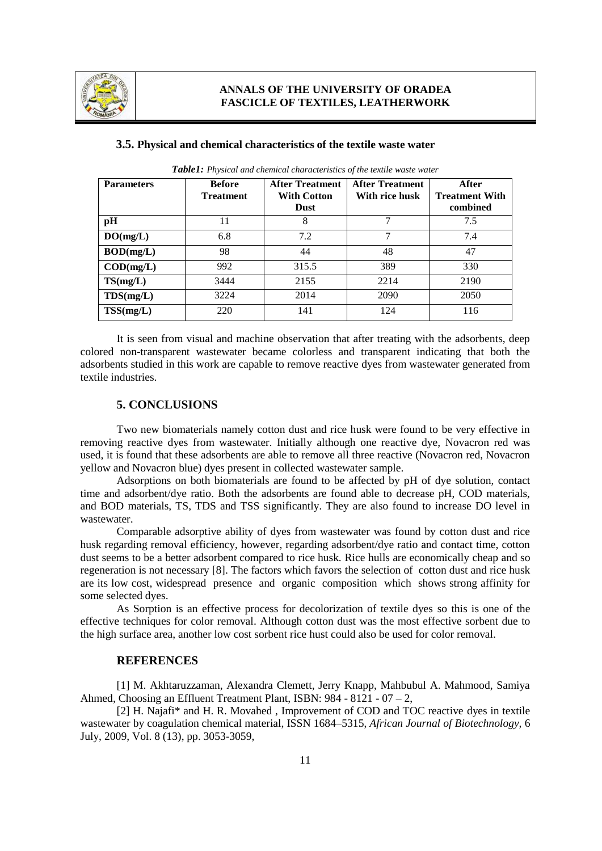

| <b>Parameters</b>         | <b>Before</b><br><b>Treatment</b> | <b>After Treatment</b><br><b>With Cotton</b><br><b>Dust</b> | <b>After Treatment</b><br>With rice husk | After<br><b>Treatment With</b><br>combined |
|---------------------------|-----------------------------------|-------------------------------------------------------------|------------------------------------------|--------------------------------------------|
| pH                        | 11                                | 8                                                           | 7                                        | 7.5                                        |
| DO(mg/L)                  | 6.8                               | 7.2                                                         | 7                                        | 7.4                                        |
| BOD(mg/L)                 | 98                                | 44                                                          | 48                                       | 47                                         |
| $\text{COD}(\text{mg/L})$ | 992                               | 315.5                                                       | 389                                      | 330                                        |
| TS(mg/L)                  | 3444                              | 2155                                                        | 2214                                     | 2190                                       |
| TDS(mg/L)                 | 3224                              | 2014                                                        | 2090                                     | 2050                                       |
| TSS(mg/L)                 | 220                               | 141                                                         | 124                                      | 116                                        |

#### **3.5. Physical and chemical characteristics of the textile waste water**

*Table1: Physical and chemical characteristics of the textile waste water*

It is seen from visual and machine observation that after treating with the adsorbents, deep colored non-transparent wastewater became colorless and transparent indicating that both the adsorbents studied in this work are capable to remove reactive dyes from wastewater generated from textile industries.

### **5. CONCLUSIONS**

Two new biomaterials namely cotton dust and rice husk were found to be very effective in removing reactive dyes from wastewater. Initially although one reactive dye, Novacron red was used, it is found that these adsorbents are able to remove all three reactive (Novacron red, Novacron yellow and Novacron blue) dyes present in collected wastewater sample.

Adsorptions on both biomaterials are found to be affected by pH of dye solution, contact time and adsorbent/dye ratio. Both the adsorbents are found able to decrease pH, COD materials, and BOD materials, TS, TDS and TSS significantly. They are also found to increase DO level in wastewater.

Comparable adsorptive ability of dyes from wastewater was found by cotton dust and rice husk regarding removal efficiency, however, regarding adsorbent/dye ratio and contact time, cotton dust seems to be a better adsorbent compared to rice husk. Rice hulls are economically cheap and so regeneration is not necessary [8]. The factors which favors the selection of cotton dust and rice husk are its low cost, widespread presence and organic composition which shows strong affinity for some selected dyes.

As Sorption is an effective process for decolorization of textile dyes so this is one of the effective techniques for color removal. Although cotton dust was the most effective sorbent due to the high surface area, another low cost sorbent rice hust could also be used for color removal.

#### **REFERENCES**

[1] M. Akhtaruzzaman, Alexandra Clemett, Jerry Knapp, Mahbubul A. Mahmood, Samiya Ahmed, Choosing an Effluent Treatment Plant, ISBN: 984 - 8121 - 07 – 2,

[2] H. Najafi\* and H. R. Movahed , Improvement of COD and TOC reactive dyes in textile wastewater by coagulation chemical material, ISSN 1684–5315, *African Journal of Biotechnology,* 6 July, 2009, Vol. 8 (13), pp. 3053-3059,